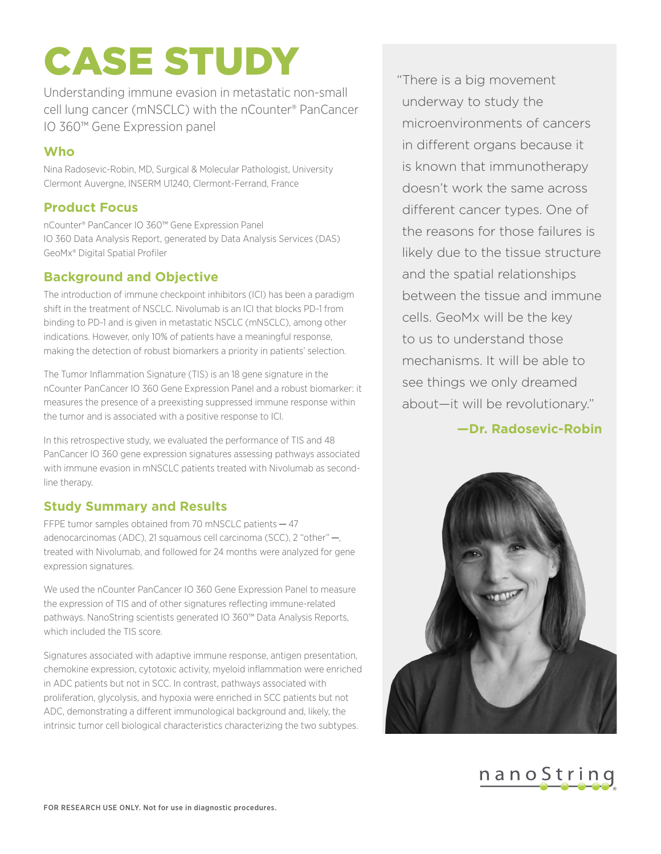# CASE STUDY

Understanding immune evasion in metastatic non-small cell lung cancer (mNSCLC) with the nCounter® PanCancer IO 360™ Gene Expression panel

#### **Who**

Nina Radosevic-Robin, MD, Surgical & Molecular Pathologist, University Clermont Auvergne, INSERM U1240, Clermont-Ferrand, France

## **Product Focus**

nCounter® PanCancer IO 360™ Gene Expression Panel IO 360 Data Analysis Report, generated by Data Analysis Services (DAS) GeoMx® Digital Spatial Profiler

#### **Background and Objective**

The introduction of immune checkpoint inhibitors (ICI) has been a paradigm shift in the treatment of NSCLC. Nivolumab is an ICI that blocks PD-1 from binding to PD-1 and is given in metastatic NSCLC (mNSCLC), among other indications. However, only 10% of patients have a meaningful response, making the detection of robust biomarkers a priority in patients' selection.

The Tumor Inflammation Signature (TIS) is an 18 gene signature in the nCounter PanCancer IO 360 Gene Expression Panel and a robust biomarker: it measures the presence of a preexisting suppressed immune response within the tumor and is associated with a positive response to ICI.

In this retrospective study, we evaluated the performance of TIS and 48 PanCancer IO 360 gene expression signatures assessing pathways associated with immune evasion in mNSCLC patients treated with Nivolumab as secondline therapy.

## **Study Summary and Results**

FFPE tumor samples obtained from 70 mNSCLC patients - 47 adenocarcinomas (ADC), 21 squamous cell carcinoma (SCC), 2 "other" —, treated with Nivolumab, and followed for 24 months were analyzed for gene expression signatures.

We used the nCounter PanCancer IO 360 Gene Expression Panel to measure the expression of TIS and of other signatures reflecting immune-related pathways. NanoString scientists generated IO 360™ Data Analysis Reports, which included the TIS score.

Signatures associated with adaptive immune response, antigen presentation, chemokine expression, cytotoxic activity, myeloid inflammation were enriched in ADC patients but not in SCC. In contrast, pathways associated with proliferation, glycolysis, and hypoxia were enriched in SCC patients but not ADC, demonstrating a different immunological background and, likely, the intrinsic tumor cell biological characteristics characterizing the two subtypes.

" There is a big movement underway to study the microenvironments of cancers in different organs because it is known that immunotherapy doesn't work the same across different cancer types. One of the reasons for those failures is likely due to the tissue structure and the spatial relationships between the tissue and immune cells. GeoMx will be the key to us to understand those mechanisms. It will be able to see things we only dreamed about—it will be revolutionary."

**—Dr. Radosevic-Robin**